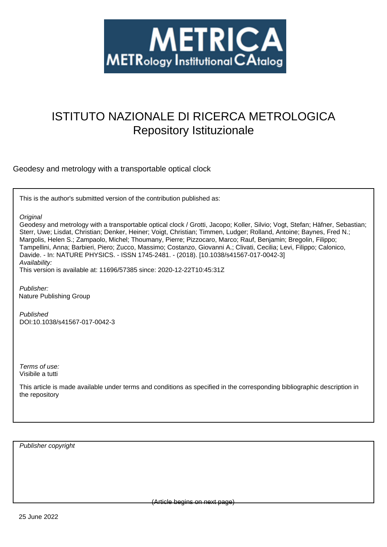

# ISTITUTO NAZIONALE DI RICERCA METROLOGICA Repository Istituzionale

Geodesy and metrology with a transportable optical clock

This is the author's submitted version of the contribution published as:

**Original** 

Geodesy and metrology with a transportable optical clock / Grotti, Jacopo; Koller, Silvio; Vogt, Stefan; Häfner, Sebastian; Sterr, Uwe; Lisdat, Christian; Denker, Heiner; Voigt, Christian; Timmen, Ludger; Rolland, Antoine; Baynes, Fred N.; Margolis, Helen S.; Zampaolo, Michel; Thoumany, Pierre; Pizzocaro, Marco; Rauf, Benjamin; Bregolin, Filippo; Tampellini, Anna; Barbieri, Piero; Zucco, Massimo; Costanzo, Giovanni A.; Clivati, Cecilia; Levi, Filippo; Calonico, Davide. - In: NATURE PHYSICS. - ISSN 1745-2481. - (2018). [10.1038/s41567-017-0042-3] Availability:

This version is available at: 11696/57385 since: 2020-12-22T10:45:31Z

Publisher: Nature Publishing Group

Published DOI:10.1038/s41567-017-0042-3

Terms of use: Visibile a tutti

This article is made available under terms and conditions as specified in the corresponding bibliographic description in the repository

Publisher copyright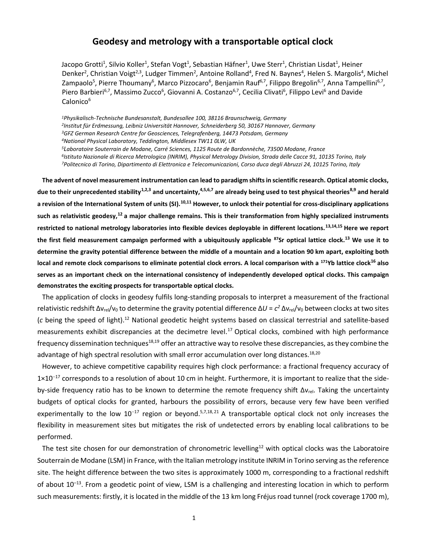# **Geodesy and metrology with a transportable optical clock**

Jacopo Grotti<sup>1</sup>, Silvio Koller<sup>1</sup>, Stefan Vogt<sup>1</sup>, Sebastian Häfner<sup>1</sup>, Uwe Sterr<sup>1</sup>, Christian Lisdat<sup>1</sup>, Heiner Denker<sup>2</sup>, Christian Voigt<sup>2,3</sup>, Ludger Timmen<sup>2</sup>, Antoine Rolland<sup>4</sup>, Fred N. Baynes<sup>4</sup>, Helen S. Margolis<sup>4</sup>, Michel Zampaolo<sup>5</sup>, Pierre Thoumany<sup>6</sup>, Marco Pizzocaro<sup>6</sup>, Benjamin Rauf<sup>6,7</sup>, Filippo Bregolin<sup>6,7</sup>, Anna Tampellini<sup>6,7</sup>, Piero Barbieri<sup>6,7</sup>, Massimo Zucco<sup>6</sup>, Giovanni A. Costanzo<sup>6,7</sup>, Cecilia Clivati<sup>6</sup>, Filippo Levi<sup>6</sup> and Davide Calonico<sup>6</sup>

*Physikalisch-Technische Bundesanstalt, Bundesallee 100, 38116 Braunschweig, Germany Institut für Erdmessung, Leibniz Universität Hannover, Schneiderberg 50, 30167 Hannover, Germany GFZ German Research Centre for Geosciences, Telegrafenberg, 14473 Potsdam, Germany National Physical Laboratory, Teddington, Middlesex TW11 0LW, UK Laboratoire Souterrain de Modane, Carré Sciences, 1125 Route de Bardonnèche, 73500 Modane, France*

<span id="page-1-6"></span><span id="page-1-5"></span><span id="page-1-4"></span><span id="page-1-3"></span><span id="page-1-1"></span><span id="page-1-0"></span>*6 Istituto Nazionale di Ricerca Metrologica (INRIM), Physical Metrology Division, Strada delle Cacce 91, 10135 Torino, Italy <sup>7</sup>Politecnico di Torino, Dipartimento di Elettronica e Telecomunicazioni, Corso duca degli Abruzzi 24, 10125 Torino, Italy*

**The advent of novel measurement instrumentation can lead to paradigm shifts in scientific research. Optical atomic clocks,**  due to their unprecedented stability<sup>1,2,3</sup> and uncertainty,<sup>4,5,6,7</sup> are already being used to test physical theories<sup>8,9</sup> and herald **a revision of the International System of units (SI).10,11 However, to unlock their potential for cross-disciplinary applications such as relativistic geodesy,<sup>12</sup> a major challenge remains. This is their transformation from highly specialized instruments restricted to national metrology laboratories into flexible devices deployable in different locations.13,14,15 Here we report the first field measurement campaign performed with a ubiquitously applicable <sup>87</sup>Sr optical lattice clock.[13](#page-1-0) We use it to determine the gravity potential difference between the middle of a mountain and a location 90 km apart, exploiting both local and remote clock comparisons to eliminate potential clock errors. A local comparison with a <sup>171</sup>Yb lattice clock<sup>16</sup> also serves as an important check on the international consistency of independently developed optical clocks. This campaign demonstrates the exciting prospects for transportable optical clocks.**

<span id="page-1-7"></span>The application of clocks in geodesy fulfils long-standing proposals to interpret a measurement of the fractional relativistic redshift Δv<sub>rel</sub>/v<sub>0</sub> to determine the gravity potential difference ΔU = c<sup>2</sup> Δv<sub>rel</sub>/v<sub>0</sub> between clocks at two sites (c being the speed of light).<sup>[12](#page-1-1)</sup> National geodetic height systems based on classical terrestrial and satellite-based measurements exhibit discrepancies at the decimetre level.<sup>17</sup> Optical clocks, combined with high performance frequency dissemination techniques<sup>18,19</sup> offer an attractive way to resolve these discrepancies, as they combine the advantage of high spectral resolution with small error accumulation over long distances.<sup>[18,2](#page-1-2)0</sup>

<span id="page-1-8"></span><span id="page-1-2"></span>However, to achieve competitive capability requires high clock performance: a fractional frequency accuracy of  $1\times10^{-17}$  corresponds to a resolution of about 10 cm in height. Furthermore, it is important to realize that the sideby-side frequency ratio has to be known to determine the remote frequency shift  $\Delta v_{rel}$ . Taking the uncertainty budgets of optical clocks for granted, harbours the possibility of errors, because very few have been verified experimentally to the low  $10^{-17}$  region or beyond.<sup>[5,](#page-1-3)[7,](#page-1-4)[18,](#page-1-2)21</sup> A transportable optical clock not only increases the flexibility in measurement sites but mitigates the risk of undetected errors by enabling local calibrations to be performed.

The test site chosen for our demonstration of chronometric levelling<sup>[12](#page-1-1)</sup> with optical clocks was the Laboratoire Souterrain de Modane (LSM) in France, with the Italian metrology institute INRIM in Torino serving as the reference site. The height difference between the two sites is approximately 1000 m, corresponding to a fractional redshift of about 10<sup>-13</sup>. From a geodetic point of view, LSM is a challenging and interesting location in which to perform such measurements: firstly, it is located in the middle of the 13 km long Fréjus road tunnel (rock coverage 1700 m),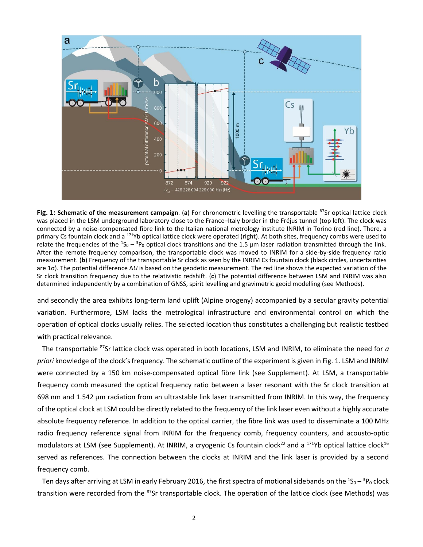

<span id="page-2-0"></span>Fig. 1: Schematic of the measurement campaign. (a) For chronometric levelling the transportable <sup>87</sup>Sr optical lattice clock was placed in the LSM underground laboratory close to the France–Italy border in the Fréjus tunnel (top left). The clock was connected by a noise-compensated fibre link to the Italian national metrology institute INRIM in Torino (red line). There, a primary Cs fountain clock and a <sup>171</sup>Yb optical lattice clock were operated (right). At both sites, frequency combs were used to relate the frequencies of the  ${}^{1}S_0 - {}^{3}P_0$  optical clock transitions and the 1.5 µm laser radiation transmitted through the link. After the remote frequency comparison, the transportable clock was moved to INRIM for a side-by-side frequency ratio measurement. (**b**) Frequency of the transportable Sr clock as seen by the INRIM Cs fountain clock (black circles, uncertainties are 1σ). The potential difference Δ*U* is based on the geodetic measurement. The red line shows the expected variation of the Sr clock transition frequency due to the relativistic redshift. (**c**) The potential difference between LSM and INRIM was also determined independently by a combination of GNSS, spirit levelling and gravimetric geoid modelling (see Methods).

and secondly the area exhibits long-term land uplift (Alpine orogeny) accompanied by a secular gravity potential variation. Furthermore, LSM lacks the metrological infrastructure and environmental control on which the operation of optical clocks usually relies. The selected location thus constitutes a challenging but realistic testbed with practical relevance.

The transportable <sup>87</sup>Sr lattice clock was operated in both locations, LSM and INRIM, to eliminate the need for *a priori* knowledge of the clock's frequency. The schematic outline of the experiment is given i[n Fig.](#page-2-0) 1. LSM and INRIM were connected by a 150 km noise-compensated optical fibre link (see Supplement). At LSM, a transportable frequency comb measured the optical frequency ratio between a laser resonant with the Sr clock transition at 698 nm and 1.542 µm radiation from an ultrastable link laser transmitted from INRIM. In this way, the frequency of the optical clock at LSM could be directly related to the frequency of the link laser even without a highly accurate absolute frequency reference. In addition to the optical carrier, the fibre link was used to disseminate a 100 MHz radio frequency reference signal from INRIM for the frequency comb, frequency counters, and acousto-optic modulators at LSM (see Supplement). At INRIM, a cryogenic Cs fountain clock<sup>22</sup> and a <sup>171</sup>Yb optical lattice clock<sup>[16](#page-1-5)</sup> served as references. The connection between the clocks at INRIM and the link laser is provided by a second frequency comb.

<span id="page-2-1"></span>Ten days after arriving at LSM in early February 2016, the first spectra of motional sidebands on the  ${}^1S_0 - {}^3P_0$  clock transition were recorded from the <sup>87</sup>Sr transportable clock. The operation of the lattice clock (see Methods) was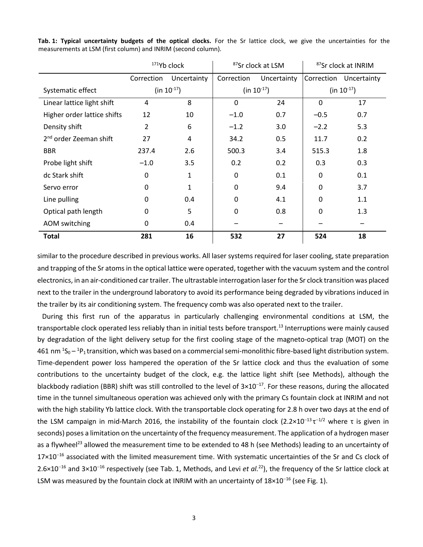|                                    | <sup>171</sup> Yb clock |              | <sup>87</sup> Sr clock at LSM |             | <sup>87</sup> Sr clock at INRIM |             |
|------------------------------------|-------------------------|--------------|-------------------------------|-------------|---------------------------------|-------------|
|                                    | Correction              | Uncertainty  | Correction                    | Uncertainty | Correction                      | Uncertainty |
| Systematic effect                  | $(in 10-17)$            |              | $(in 10-17)$                  |             | (in $10^{-17}$ )                |             |
| Linear lattice light shift         | 4                       | 8            | 0                             | 24          | $\mathbf{0}$                    | 17          |
| Higher order lattice shifts        | 12                      | 10           | $-1.0$                        | 0.7         | $-0.5$                          | 0.7         |
| Density shift                      | 2                       | 6            | $-1.2$                        | 3.0         | $-2.2$                          | 5.3         |
| 2 <sup>nd</sup> order Zeeman shift | 27                      | $\pmb{4}$    | 34.2                          | 0.5         | 11.7                            | 0.2         |
| <b>BBR</b>                         | 237.4                   | 2.6          | 500.3                         | 3.4         | 515.3                           | 1.8         |
| Probe light shift                  | $-1.0$                  | 3.5          | 0.2                           | 0.2         | 0.3                             | 0.3         |
| dc Stark shift                     | $\Omega$                | $\mathbf{1}$ | $\mathbf 0$                   | 0.1         | 0                               | 0.1         |
| Servo error                        | $\Omega$                | 1            | $\overline{0}$                | 9.4         | $\mathbf 0$                     | 3.7         |
| Line pulling                       | 0                       | 0.4          | 0                             | 4.1         | 0                               | 1.1         |
| Optical path length                | $\Omega$                | 5            | 0                             | 0.8         | 0                               | 1.3         |
| AOM switching                      | 0                       | 0.4          |                               |             |                                 |             |
| <b>Total</b>                       | 281                     | 16           | 532                           | 27          | 524                             | 18          |

<span id="page-3-0"></span>**Tab. 1: Typical uncertainty budgets of the optical clocks.** For the Sr lattice clock, we give the uncertainties for the measurements at LSM (first column) and INRIM (second column).

similar to the procedure described in previous works. All laser systems required for laser cooling, state preparation and trapping of the Sr atoms in the optical lattice were operated, together with the vacuum system and the control electronics, in an air-conditioned car trailer. The ultrastable interrogation laser for the Sr clock transition was placed next to the trailer in the underground laboratory to avoid its performance being degraded by vibrations induced in the trailer by its air conditioning system. The frequency comb was also operated next to the trailer.

<span id="page-3-1"></span>During this first run of the apparatus in particularly challenging environmental conditions at LSM, the transportable clock operated less reliably than in initial tests before transport.<sup>[13](#page-1-0)</sup> Interruptions were mainly caused by degradation of the light delivery setup for the first cooling stage of the magneto-optical trap (MOT) on the 461 nm  $^1$ S<sub>0</sub> –  $^1$ P<sub>1</sub> transition, which was based on a commercial semi-monolithic fibre-based light distribution system. Time-dependent power loss hampered the operation of the Sr lattice clock and thus the evaluation of some contributions to the uncertainty budget of the clock, e.g. the lattice light shift (see Methods), although the blackbody radiation (BBR) shift was still controlled to the level of  $3\times10^{-17}$ . For these reasons, during the allocated time in the tunnel simultaneous operation was achieved only with the primary Cs fountain clock at INRIM and not with the high stability Yb lattice clock. With the transportable clock operating for 2.8 h over two days at the end of the LSM campaign in mid-March 2016, the instability of the fountain clock (2.2×10<sup>-13</sup>τ<sup>-1/2</sup> where τ is given in seconds) poses a limitation on the uncertainty of the frequency measurement. The application of a hydrogen maser as a flywheel<sup>23</sup> allowed the measurement time to be extended to 48 h (see Methods) leading to an uncertainty of  $17\times10^{-16}$  associated with the limited measurement time. With systematic uncertainties of the Sr and Cs clock of  $2.6\times10^{-16}$  and  $3\times10^{-16}$  respectively (see [Tab.](#page-3-0) 1, Methods, and Levi *et al.*<sup>[22](#page-2-1)</sup>), the frequency of the Sr lattice clock at LSM was measured by the fountain clock at INRIM with an uncertainty of  $18\times10^{-16}$  (se[e Fig.](#page-2-0) 1).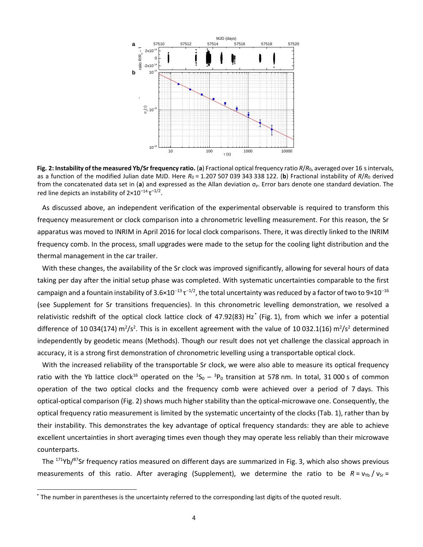

<span id="page-4-0"></span>**Fig. 2: Instability of the measured Yb/Sr frequency ratio.** (**a**) Fractional optical frequency ratio *R*/*R*0, averaged over 16 s intervals, as a function of the modified Julian date MJD. Here  $R_0 = 1.207 507 039 343 338 122$ . (b) Fractional instability of  $R/R_0$  derived from the concatenated data set in (**a**) and expressed as the Allan deviation σ*y*. Error bars denote one standard deviation. The red line depicts an instability of  $2\times10^{-14} \tau^{-1/2}$ .

As discussed above, an independent verification of the experimental observable is required to transform this frequency measurement or clock comparison into a chronometric levelling measurement. For this reason, the Sr apparatus was moved to INRIM in April 2016 for local clock comparisons. There, it was directly linked to the INRIM frequency comb. In the process, small upgrades were made to the setup for the cooling light distribution and the thermal management in the car trailer.

With these changes, the availability of the Sr clock was improved significantly, allowing for several hours of data taking per day after the initial setup phase was completed. With systematic uncertainties comparable to the first campaign and a fountain instability of 3.6×10<sup>–13</sup> τ<sup>–1/2</sup>, the total uncertainty was reduced by a factor of two to 9×10<sup>–16</sup> (see Supplement for Sr transitions frequencies). In this chronometric levelling demonstration, we resolved a relativistic redshift of the optical clock lattice clock of 47.92(83) Hz\* [\(Fig.](#page-2-0) 1), from which we infer a potential difference of 10 034(174) m<sup>2</sup>/s<sup>2</sup>. This is in excellent agreement with the value of 10 032.1(16) m<sup>2</sup>/s<sup>2</sup> determined independently by geodetic means (Methods). Though our result does not yet challenge the classical approach in accuracy, it is a strong first demonstration of chronometric levelling using a transportable optical clock.

With the increased reliability of the transportable Sr clock, we were also able to measure its optical frequency ratio with the Yb lattice clock<sup>[16](#page-1-5)</sup> operated on the  ${}^1S_0 - {}^3P_0$  transition at 578 nm. In total, 31 000 s of common operation of the two optical clocks and the frequency comb were achieved over a period of 7 days. This optical-optical comparison [\(Fig.](#page-4-0) 2) shows much higher stability than the optical-microwave one. Consequently, the optical frequency ratio measurement is limited by the systematic uncertainty of the clocks [\(Tab.](#page-3-0) 1), rather than by their instability. This demonstrates the key advantage of optical frequency standards: they are able to achieve excellent uncertainties in short averaging times even though they may operate less reliably than their microwave counterparts.

The <sup>171</sup>Yb/<sup>87</sup>Sr frequency ratios measured on different days are summarized in [Fig.](#page-5-0) 3, which also shows previous measurements of this ratio. After averaging (Supplement), we determine the ratio to be *R* = v<sub>rb</sub> / v<sub>sr</sub> =

 $\overline{a}$ 

<sup>\*</sup> The number in parentheses is the uncertainty referred to the corresponding last digits of the quoted result.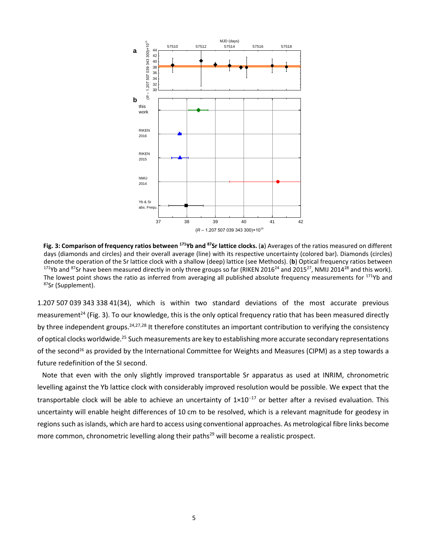

<span id="page-5-3"></span><span id="page-5-2"></span><span id="page-5-0"></span>**Fig. 3: Comparison of frequency ratios between <sup>171</sup>Yb and <sup>87</sup>Sr lattice clocks.** (**a**) Averages of the ratios measured on different days (diamonds and circles) and their overall average (line) with its respective uncertainty (colored bar). Diamonds (circles) denote the operation of the Sr lattice clock with a shallow (deep) lattice (see Methods). (**b**) Optical frequency ratios between <sup>171</sup>Yb and <sup>87</sup>Sr have been measured directly in only three groups so far (RIKEN 2016<sup>[24](#page-5-1)</sup> and 2015<sup>27</sup>, NMIJ 2014<sup>28</sup> and this work). The lowest point shows the ratio as inferred from averaging all published absolute frequency measurements for  $171Yb$  and 87Sr (Supplement).

<span id="page-5-4"></span><span id="page-5-1"></span>1.207 507 039 343 338 41(34), which is within two standard deviations of the most accurate previous measurement<sup>24</sup> [\(Fig.](#page-5-0) 3). To our knowledge, this is the only optical frequency ratio that has been measured directly by three independent groups.<sup>[24,](#page-5-1)[27,](#page-5-2)[28](#page-5-3)</sup> It therefore constitutes an important contribution to verifying the consistency of optical clocks worldwide.<sup>25</sup> Such measurements are key to establishing more accurate secondary representations of the second<sup>26</sup> as provided by the International Committee for Weights and Measures (CIPM) as a step towards a future redefinition of the SI second.

<span id="page-5-5"></span>Note that even with the only slightly improved transportable Sr apparatus as used at INRIM, chronometric levelling against the Yb lattice clock with considerably improved resolution would be possible. We expect that the transportable clock will be able to achieve an uncertainty of  $1 \times 10^{-17}$  or better after a revised evaluation. This uncertainty will enable height differences of 10 cm to be resolved, which is a relevant magnitude for geodesy in regions such asislands, which are hard to access using conventional approaches. As metrological fibre links become more common, chronometric levelling along their paths<sup>29</sup> will become a realistic prospect.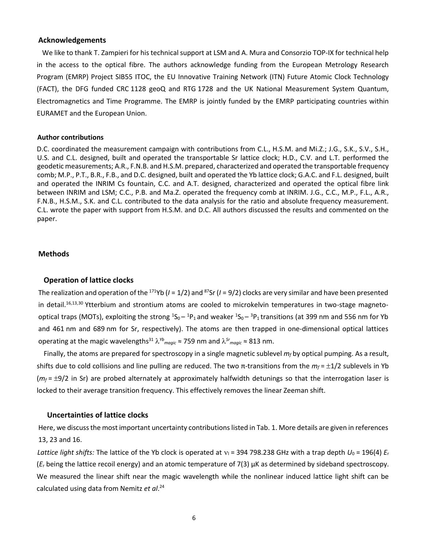#### **Acknowledgements**

We like to thank T. Zampieri for his technical support at LSM and A. Mura and Consorzio TOP-IX for technical help in the access to the optical fibre. The authors acknowledge funding from the European Metrology Research Program (EMRP) Project SIB55 ITOC, the EU Innovative Training Network (ITN) Future Atomic Clock Technology (FACT), the DFG funded CRC 1128 geoQ and RTG 1728 and the UK National Measurement System Quantum, Electromagnetics and Time Programme. The EMRP is jointly funded by the EMRP participating countries within EURAMET and the European Union.

### **Author contributions**

D.C. coordinated the measurement campaign with contributions from C.L., H.S.M. and Mi.Z.; J.G., S.K., S.V., S.H., U.S. and C.L. designed, built and operated the transportable Sr lattice clock; H.D., C.V. and L.T. performed the geodetic measurements; A.R., F.N.B. and H.S.M. prepared, characterized and operated the transportable frequency comb; M.P., P.T., B.R., F.B., and D.C. designed, built and operated the Yb lattice clock; G.A.C. and F.L. designed, built and operated the INRIM Cs fountain, C.C. and A.T. designed, characterized and operated the optical fibre link between INRIM and LSM; C.C., P.B. and Ma.Z. operated the frequency comb at INRIM. J.G., C.C., M.P., F.L., A.R., F.N.B., H.S.M., S.K. and C.L. contributed to the data analysis for the ratio and absolute frequency measurement. C.L. wrote the paper with support from H.S.M. and D.C. All authors discussed the results and commented on the paper.

## **Methods**

#### **Operation of lattice clocks**

The realization and operation of the <sup>171</sup>Yb (*I* = 1/2) and <sup>87</sup>Sr (*I* = 9/2) clocks are very similar and have been presented in detail.[16,](#page-1-5)[13,3](#page-1-0)0 Ytterbium and strontium atoms are cooled to microkelvin temperatures in two-stage magnetooptical traps (MOTs), exploiting the strong  ${}^1S_0-{}^1P_1$  and weaker  ${}^1S_0-{}^3P_1$ transitions (at 399 nm and 556 nm for Yb and 461 nm and 689 nm for Sr, respectively). The atoms are then trapped in one-dimensional optical lattices operating at the magic wavelengths<sup>31</sup> *Yb magic* ≈ 759 nm and *Sr magic* ≈ 813 nm.

Finally, the atoms are prepared for spectroscopy in a single magnetic sublevel *m<sup>f</sup>* by optical pumping. As a result, shifts due to cold collisions and line pulling are reduced. The two π-transitions from the *m<sup>f</sup>* = 1/2 sublevels in Yb  $(m_f = \pm 9/2$  in Sr) are probed alternately at approximately halfwidth detunings so that the interrogation laser is locked to their average transition frequency. This effectively removes the linear Zeeman shift.

# **Uncertainties of lattice clocks**

Here, we discuss the most important uncertainty contributions listed i[n Tab.](#page-3-0) 1. More details are given in references [13,](#page-1-0) [23](#page-3-1) an[d 16.](#page-1-5)

*Lattice light shifts:* The lattice of the Yb clock is operated at  $v_1$  = 394 798.238 GHz with a trap depth  $U_0$  = 196(4)  $E_r$ (*E*<sup>r</sup> being the lattice recoil energy) and an atomic temperature of 7(3) µK as determined by sideband spectroscopy. We measured the linear shift near the magic wavelength while the nonlinear induced lattice light shift can be calculated using data from Nemitz *et al*. [24](#page-5-1)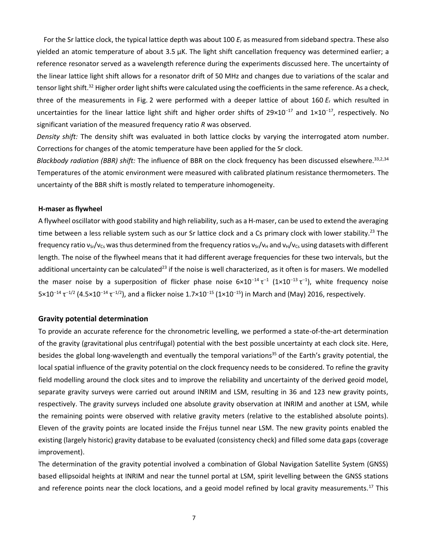For the Sr lattice clock, the typical lattice depth was about 100 *E*<sup>r</sup> as measured from sideband spectra. These also yielded an atomic temperature of about 3.5 µK. The light shift cancellation frequency was determined earlier; a reference resonator served as a wavelength reference during the experiments discussed here. The uncertainty of the linear lattice light shift allows for a resonator drift of 50 MHz and changes due to variations of the scalar and tensor light shift.<sup>32</sup> Higher order light shifts were calculated using the coefficients in the same reference. As a check, three of the measurements in [Fig.](#page-4-0) 2 were performed with a deeper lattice of about 160 *E*<sup>r</sup> which resulted in uncertainties for the linear lattice light shift and higher order shifts of  $29\times10^{-17}$  and  $1\times10^{-17}$ , respectively. No significant variation of the measured frequency ratio *R* was observed.

*Density shift:* The density shift was evaluated in both lattice clocks by varying the interrogated atom number. Corrections for changes of the atomic temperature have been applied for the Sr clock.

*Blackbody radiation (BBR) shift:* The influence of BBR on the clock frequency has been discussed elsewhere. 3[3,2,3](#page-1-6)4 Temperatures of the atomic environment were measured with calibrated platinum resistance thermometers. The uncertainty of the BBR shift is mostly related to temperature inhomogeneity.

## **H-maser as flywheel**

A flywheel oscillator with good stability and high reliability, such as a H-maser, can be used to extend the averaging time between a less reliable system such as our Sr lattice clock and a Cs primary clock with lower stability.<sup>[23](#page-3-1)</sup> The frequency ratio  $v_{Sr}/v_{Cs}$  was thus determined from the frequency ratios  $v_{Sr}/v_H$  and  $v_H/v_{Cs}$  using datasets with different length. The noise of the flywheel means that it had different average frequencies for these two intervals, but the additional uncertainty can be calculated<sup>[23](#page-3-1)</sup> if the noise is well characterized, as it often is for masers. We modelled the maser noise by a superposition of flicker phase noise  $6\times10^{-14} \tau^{-1}$  (1×10<sup>-13</sup>  $\tau^{-1}$ ), white frequency noise  $5\times10^{-14}$  τ<sup>-1/2</sup> (4.5×10<sup>-14</sup> τ<sup>-1/2</sup>), and a flicker noise 1.7×10<sup>-15</sup> (1×10<sup>-15</sup>) in March and (May) 2016, respectively.

# **Gravity potential determination**

To provide an accurate reference for the chronometric levelling, we performed a state-of-the-art determination of the gravity (gravitational plus centrifugal) potential with the best possible uncertainty at each clock site. Here, besides the global long-wavelength and eventually the temporal variations<sup>35</sup> of the Earth's gravity potential, the local spatial influence of the gravity potential on the clock frequency needs to be considered. To refine the gravity field modelling around the clock sites and to improve the reliability and uncertainty of the derived geoid model, separate gravity surveys were carried out around INRIM and LSM, resulting in 36 and 123 new gravity points, respectively. The gravity surveys included one absolute gravity observation at INRIM and another at LSM, while the remaining points were observed with relative gravity meters (relative to the established absolute points). Eleven of the gravity points are located inside the Fréjus tunnel near LSM. The new gravity points enabled the existing (largely historic) gravity database to be evaluated (consistency check) and filled some data gaps (coverage improvement).

The determination of the gravity potential involved a combination of Global Navigation Satellite System (GNSS) based ellipsoidal heights at INRIM and near the tunnel portal at LSM, spirit levelling between the GNSS stations and reference points near the clock locations, and a geoid model refined by local gravity measurements.<sup>[17](#page-1-7)</sup> This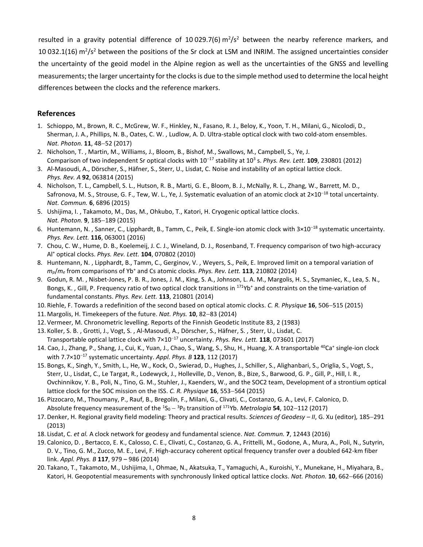resulted in a gravity potential difference of 10029.7(6)  $m^2/s^2$  between the nearby reference markers, and 10 032.1(16)  $\text{m}^2/\text{s}^2$  between the positions of the Sr clock at LSM and INRIM. The assigned uncertainties consider the uncertainty of the geoid model in the Alpine region as well as the uncertainties of the GNSS and levelling measurements; the larger uncertainty for the clocks is due to the simple method used to determine the local height differences between the clocks and the reference markers.

# **References**

- 1. Schioppo, M., Brown, R. C., McGrew, W. F., Hinkley, N., Fasano, R. J., Beloy, K., Yoon, T. H., Milani, G., Nicolodi, D., Sherman, J. A., Phillips, N. B., Oates, C. W. , Ludlow, A. D. Ultra-stable optical clock with two cold-atom ensembles. *Nat. Photon.* **11**, 48-52 (2017)
- 2. Nicholson, T. , Martin, M., Williams, J., Bloom, B., Bishof, M., Swallows, M., Campbell, S., Ye, J. Comparison of two independent Sr optical clocks with  $10^{-17}$  stability at  $10^3$  s. Phys. Rev. Lett. **109**, 230801 (2012)
- 3. Al-Masoudi, A., Dörscher, S., Häfner, S., Sterr, U., Lisdat, C. Noise and instability of an optical lattice clock. *Phys. Rev. A* **92**, 063814 (2015)
- 4. Nicholson, T. L., Campbell, S. L., Hutson, R. B., Marti, G. E., Bloom, B. J., McNally, R. L., Zhang, W., Barrett, M. D., Safronova, M. S., Strouse, G. F., Tew, W. L., Ye, J. Systematic evaluation of an atomic clock at 2×10<sup>-18</sup> total uncertainty. *Nat. Commun.* **6**, 6896 (2015)
- 5. Ushijima, I. , Takamoto, M., Das, M., Ohkubo, T., Katori, H. Cryogenic optical lattice clocks. *Nat. Photon.* **9**, 185-189 (2015)
- 6. Huntemann, N., Sanner, C., Lipphardt, B., Tamm, C., Peik, E. Single-ion atomic clock with  $3\times10^{-18}$  systematic uncertainty. *Phys. Rev. Lett.* **116**, 063001 (2016)
- 7. Chou, C. W., Hume, D. B., Koelemeij, J. C. J., Wineland, D. J., Rosenband, T. Frequency comparison of two high-accuracy Al<sup>+</sup> optical clocks. *Phys. Rev. Lett.* **104**, 070802 (2010)
- 8. Huntemann, N. , Lipphardt, B., Tamm, C., Gerginov, V. , Weyers, S., Peik, E. Improved limit on a temporal variation of *mp*/*m<sup>e</sup>* from comparisons of Yb<sup>+</sup> and Cs atomic clocks. *Phys. Rev. Lett.* **113**, 210802 (2014)
- 9. Godun, R. M. , Nisbet-Jones, P. B. R., Jones, J. M., King, S. A., Johnson, L. A. M., Margolis, H. S., Szymaniec, K., Lea, S. N., Bongs, K., Gill, P. Frequency ratio of two optical clock transitions in  $171Yb^+$  and constraints on the time-variation of fundamental constants. *Phys. Rev. Lett.* **113**, 210801 (2014)
- 10. Riehle, F. Towards a redefinition of the second based on optical atomic clocks. *C. R. Physique* **16**, 506–515 (2015)
- 11. Margolis, H. Timekeepers of the future. *Nat. Phys.* **10**, 82-83 (2014)
- 12. Vermeer, M. Chronometric levelling. Reports of the Finnish Geodetic Institute 83, 2 (1983)
- 13. Koller, S. B. , Grotti, J., Vogt, S. , Al-Masoudi, A., Dörscher, S., Häfner, S. , Sterr, U., Lisdat, C. Transportable optical lattice clock with 7×10<sup>-17</sup> uncertainty. *Phys. Rev. Lett.* **118**, 073601 (2017)
- 14. Cao, J., Zhang, P., Shang, J., Cui, K., Yuan, J., Chao, S., Wang, S., Shu, H., Huang, X. A transportable <sup>40</sup>Ca<sup>+</sup> single-ion clock with 7.7×10<sup>-17</sup> systematic uncertainty. *Appl. Phys. B* **123**, 112 (2017)
- 15. Bongs, K., Singh, Y., Smith, L., He, W., Kock, O., Swierad, D., Hughes, J., Schiller, S., Alighanbari, S., Origlia, S., Vogt, S., Sterr, U., Lisdat, C., Le Targat, R., Lodewyck, J., Holleville, D., Venon, B., Bize, S., Barwood, G. P., Gill, P., Hill, I. R., Ovchinnikov, Y. B., Poli, N., Tino, G. M., Stuhler, J., Kaenders, W., and the SOC2 team, Development of a strontium optical lattice clock for the SOC mission on the ISS. *C. R. Physique* **16**, 553-564 (2015)
- 16. Pizzocaro, M., Thoumany, P., Rauf, B., Bregolin, F., Milani, G., Clivati, C., Costanzo, G. A., Levi, F. Calonico, D. Absolute frequency measurement of the <sup>1</sup>S<sub>0</sub> - <sup>3</sup>P<sub>0</sub> transition of <sup>171</sup>Yb. *Metrologia* **54**, 102–112 (2017)
- 17. Denker, H. Regional gravity field modeling: Theory and practical results. *Sciences of Geodesy II*, G. Xu (editor), 185-291 (2013)
- 18. Lisdat, C. *et al.* A clock network for geodesy and fundamental science. *Nat. Commun.* **7**, 12443 (2016)
- 19. Calonico, D. , Bertacco, E. K., Calosso, C. E., Clivati, C., Costanzo, G. A., Frittelli, M., Godone, A., Mura, A., Poli, N., Sutyrin, D. V., Tino, G. M., Zucco, M. E., Levi, F. High-accuracy coherent optical frequency transfer over a doubled 642-km fiber link. *Appl. Phys. B* **117**, 979 – 986 (2014)
- 20. Takano, T., Takamoto, M., Ushijima, I., Ohmae, N., Akatsuka, T., Yamaguchi, A., Kuroishi, Y., Munekane, H., Miyahara, B., Katori, H. Geopotential measurements with synchronously linked optical lattice clocks. *Nat. Photon*. **10**, 662–666 (2016)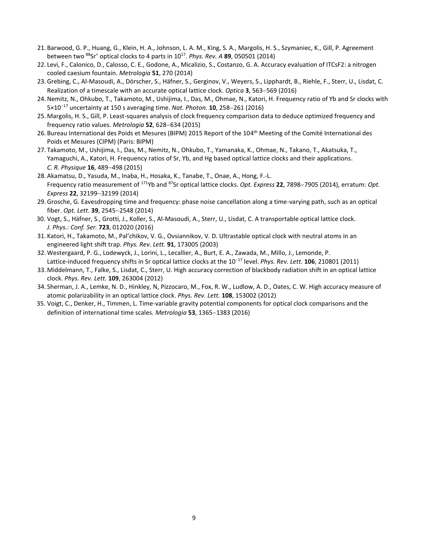- 21. Barwood, G. P., Huang, G., Klein, H. A., Johnson, L. A. M., King, S. A., Margolis, H. S., Szymaniec, K., Gill, P. Agreement between two <sup>88</sup>Sr<sup>+</sup> optical clocks to 4 parts in 10<sup>17</sup> . *Phys. Rev. A* **89**, 050501 (2014)
- 22. Levi, F., Calonico, D., Calosso, C. E., Godone, A., Micalizio, S., Costanzo, G. A. Accuracy evaluation of ITCsF2: a nitrogen cooled caesium fountain. *Metrologia* **51**, 270 (2014)
- 23. Grebing, C., Al-Masoudi, A., Dörscher, S., Häfner, S., Gerginov, V., Weyers, S., Lipphardt, B., Riehle, F., Sterr, U., Lisdat, C. Realization of a timescale with an accurate optical lattice clock. *Optica* **3**, 563-569 (2016)
- 24.Nemitz, N., Ohkubo, T., Takamoto, M., Ushijima, I., Das, M., Ohmae, N., Katori, H. Frequency ratio of Yb and Sr clocks with  $5 \times 10^{-17}$  uncertainty at 150 s averaging time. *Nat. Photon.* **10**, 258–261 (2016)
- 25. Margolis, H. S., Gill, P. Least-squares analysis of clock frequency comparison data to deduce optimized frequency and frequency ratio values. *Metrologia* **52**, 628-634 (2015)
- 26. Bureau International des Poids et Mesures (BIPM) 2015 Report of the 104<sup>th</sup> Meeting of the Comité International des Poids et Mesures (CIPM) (Paris: BIPM)
- 27. Takamoto, M., Ushijima, I., Das, M., Nemitz, N., Ohkubo, T., Yamanaka, K., Ohmae, N., Takano, T., Akatsuka, T., Yamaguchi, A., Katori, H. Frequency ratios of Sr, Yb, and Hg based optical lattice clocks and their applications. *C. R. Physique* **16**, 489-498 (2015)
- 28. Akamatsu, D., Yasuda, M., Inaba, H., Hosaka, K., Tanabe, T., Onae, A., Hong, F.-L. Frequency ratio measurement of <sup>171</sup>Yb and <sup>87</sup>Sr optical lattice clocks. *Opt. Express* **22**, 7898-7905 (2014), erratum: *Opt. Express* 22, 32199-32199 (2014)
- 29. Grosche, G. Eavesdropping time and frequency: phase noise cancellation along a time-varying path, such as an optical fiber. *Opt. Lett.* **39**, 2545-2548 (2014)
- 30. Vogt, S., Häfner, S., Grotti, J., Koller, S., Al-Masoudi, A., Sterr, U., Lisdat, C. A transportable optical lattice clock. *J. Phys.: Conf. Ser.* **723**, 012020 (2016)
- 31. Katori, H., Takamoto, M., Pal'chikov, V. G., Ovsiannikov, V. D. Ultrastable optical clock with neutral atoms in an engineered light shift trap. *Phys. Rev. Lett.* **91**, 173005 (2003)
- 32. Westergaard, P. G., Lodewyck, J., Lorini, L., Lecallier, A., Burt, E. A., Zawada, M., Millo, J., Lemonde, P. Lattice-induced frequency shifts in Sr optical lattice clocks at the 10<sup>-17</sup> level. *Phys. Rev. Lett.* **106**, 210801 (2011)
- 33. Middelmann, T., Falke, S., Lisdat, C., Sterr, U. High accuracy correction of blackbody radiation shift in an optical lattice clock. *Phys. Rev. Lett.* **109**, 263004 (2012)
- 34. Sherman, J. A., Lemke, N. D., Hinkley, N, Pizzocaro, M., Fox, R. W., Ludlow, A. D., Oates, C. W. High accuracy measure of atomic polarizability in an optical lattice clock. *Phys. Rev. Lett.* **108**, 153002 (2012)
- 35. Voigt, C., Denker, H., Timmen, L. Time-variable gravity potential components for optical clock comparisons and the definition of international time scales. *Metrologia* 53, 1365-1383 (2016)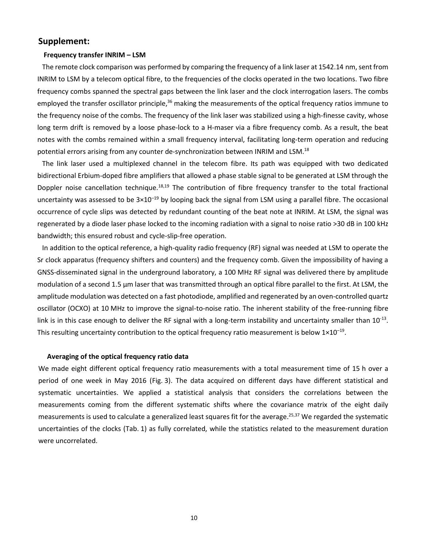# **Supplement:**

#### **Frequency transfer INRIM – LSM**

The remote clock comparison was performed by comparing the frequency of a link laser at 1542.14 nm, sent from INRIM to LSM by a telecom optical fibre, to the frequencies of the clocks operated in the two locations. Two fibre frequency combs spanned the spectral gaps between the link laser and the clock interrogation lasers. The combs employed the transfer oscillator principle,<sup>36</sup> making the measurements of the optical frequency ratios immune to the frequency noise of the combs. The frequency of the link laser was stabilized using a high-finesse cavity, whose long term drift is removed by a loose phase-lock to a H-maser via a fibre frequency comb. As a result, the beat notes with the combs remained within a small frequency interval, facilitating long-term operation and reducing potential errors arising from any counter de-synchronization between INRIM and LSM.<sup>[18](#page-1-2)</sup>

The link laser used a multiplexed channel in the telecom fibre. Its path was equipped with two dedicated bidirectional Erbium-doped fibre amplifiers that allowed a phase stable signal to be generated at LSM through the Doppler noise cancellation technique.<sup>[18,](#page-1-2)[19](#page-1-8)</sup> The contribution of fibre frequency transfer to the total fractional uncertainty was assessed to be  $3\times10^{-19}$  by looping back the signal from LSM using a parallel fibre. The occasional occurrence of cycle slips was detected by redundant counting of the beat note at INRIM. At LSM, the signal was regenerated by a diode laser phase locked to the incoming radiation with a signal to noise ratio >30 dB in 100 kHz bandwidth; this ensured robust and cycle-slip-free operation.

In addition to the optical reference, a high-quality radio frequency (RF) signal was needed at LSM to operate the Sr clock apparatus (frequency shifters and counters) and the frequency comb. Given the impossibility of having a GNSS-disseminated signal in the underground laboratory, a 100 MHz RF signal was delivered there by amplitude modulation of a second 1.5 µm laser that was transmitted through an optical fibre parallel to the first. At LSM, the amplitude modulation was detected on a fast photodiode, amplified and regenerated by an oven-controlled quartz oscillator (OCXO) at 10 MHz to improve the signal-to-noise ratio. The inherent stability of the free-running fibre link is in this case enough to deliver the RF signal with a long-term instability and uncertainty smaller than  $10^{-13}$ . This resulting uncertainty contribution to the optical frequency ratio measurement is below  $1 \times 10^{-19}$ .

## **Averaging of the optical frequency ratio data**

We made eight different optical frequency ratio measurements with a total measurement time of 15 h over a period of one week in May 2016 [\(Fig.](#page-5-0) 3). The data acquired on different days have different statistical and systematic uncertainties. We applied a statistical analysis that considers the correlations between the measurements coming from the different systematic shifts where the covariance matrix of the eight daily measurements is used to calculate a generalized least squares fit for the average. [25,3](#page-5-4)7 We regarded the systematic uncertainties of the clocks [\(Tab.](#page-3-0) 1) as fully correlated, while the statistics related to the measurement duration were uncorrelated.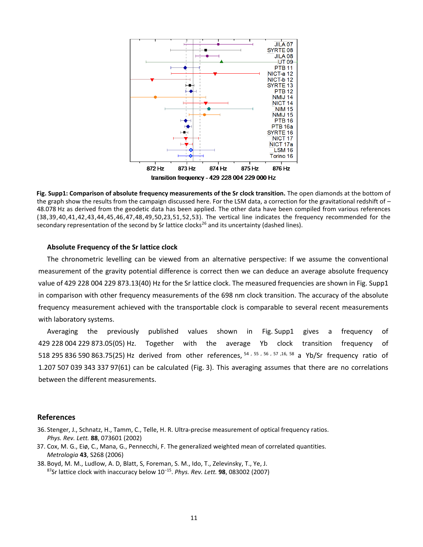

<span id="page-11-0"></span>**Fig. Supp1: Comparison of absolute frequency measurements of the Sr clock transition.** The open diamonds at the bottom of the graph show the results from the campaign discussed here. For the LSM data, a correction for the gravitational redshift of -48.078 Hz as derived from the geodetic data has been applied. The other data have been compiled from various references (38,39,40,41,42,43,44,45,46,47,48,49,50[,23,](#page-3-1)51,52,53). The vertical line indicates the frequency recommended for the secondary representation of the second by Sr lattice clocks<sup>[26](#page-5-5)</sup> and its uncertainty (dashed lines).

## **Absolute Frequency of the Sr lattice clock**

The chronometric levelling can be viewed from an alternative perspective: If we assume the conventional measurement of the gravity potential difference is correct then we can deduce an average absolute frequency value of 429 228 004 229 873.13(40) Hz for the Sr lattice clock. The measured frequencies are shown in Fig. [Supp1](#page-11-0) in comparison with other frequency measurements of the 698 nm clock transition. The accuracy of the absolute frequency measurement achieved with the transportable clock is comparable to several recent measurements with laboratory systems.

Averaging the previously published values shown in Fig. [Supp1](#page-11-0) gives a frequency of 429 228 004 229 873.05(05) Hz. Together with the average Yb clock transition frequency of 518 295 836 590 863.75(25) Hz derived from other references, <sup>54</sup> , <sup>55</sup> , <sup>56</sup> , <sup>57</sup> [,16,](#page-1-5) <sup>58</sup> a Yb/Sr frequency ratio of 1.207 507 039 343 337 97(61) can be calculated [\(Fig.](#page-5-0) 3). This averaging assumes that there are no correlations between the different measurements.

#### **References**

- 36. Stenger, J., Schnatz, H., Tamm, C., Telle, H. R. Ultra-precise measurement of optical frequency ratios. *Phys. Rev. Lett.* **88**, 073601 (2002)
- 37. Cox, M. G., Eiø, C., Mana, G., Pennecchi, F. The generalized weighted mean of correlated quantities. *Metrologia* **43**, S268 (2006)
- 38. Boyd, M. M., Ludlow, A. D, Blatt, S, Foreman, S. M., Ido, T., Zelevinsky, T., Ye, J. <sup>87</sup>Sr lattice clock with inaccuracy below 10<sup>−</sup><sup>15</sup> . *Phys. Rev. Lett.* **98**, 083002 (2007)